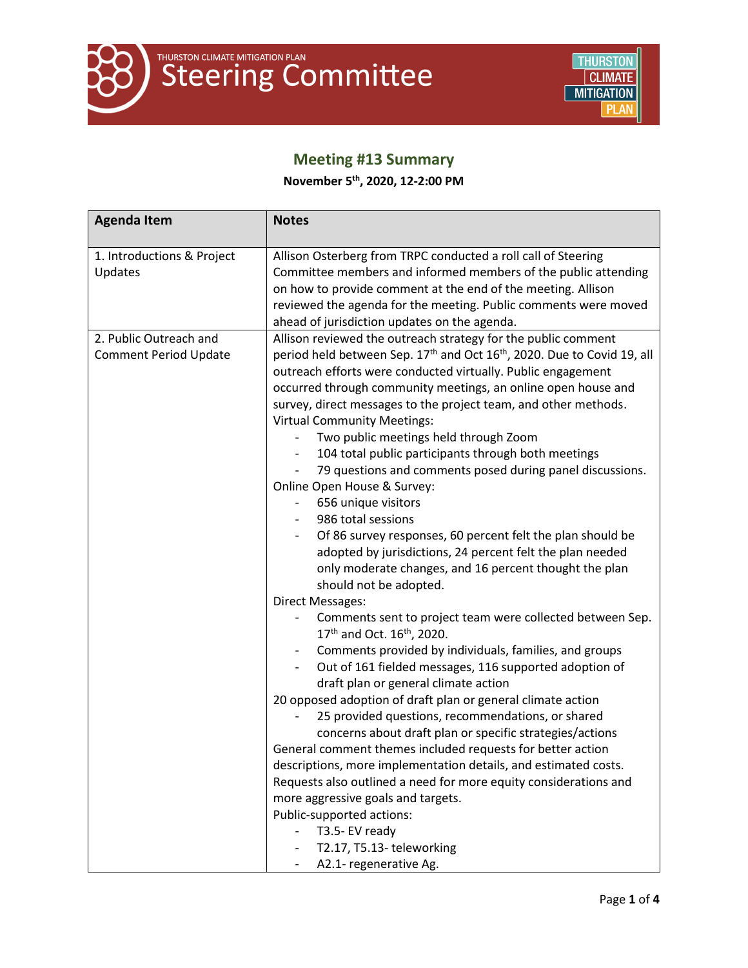

# **Meeting #13 Summary**

**November 5 th , 2020, 12-2:00 PM**

| <b>Agenda Item</b>                                     | <b>Notes</b>                                                                                                                                                                                                                                                                                                                                                                                                                                                                                                                                                                                                                                                                                                                                                                                                                                                                                                                                                                                                                                                                                                                                                                                                                                                                                                                                                                                                                                                                                                                                                                                                                                                                                                                                     |
|--------------------------------------------------------|--------------------------------------------------------------------------------------------------------------------------------------------------------------------------------------------------------------------------------------------------------------------------------------------------------------------------------------------------------------------------------------------------------------------------------------------------------------------------------------------------------------------------------------------------------------------------------------------------------------------------------------------------------------------------------------------------------------------------------------------------------------------------------------------------------------------------------------------------------------------------------------------------------------------------------------------------------------------------------------------------------------------------------------------------------------------------------------------------------------------------------------------------------------------------------------------------------------------------------------------------------------------------------------------------------------------------------------------------------------------------------------------------------------------------------------------------------------------------------------------------------------------------------------------------------------------------------------------------------------------------------------------------------------------------------------------------------------------------------------------------|
| 1. Introductions & Project<br>Updates                  | Allison Osterberg from TRPC conducted a roll call of Steering<br>Committee members and informed members of the public attending<br>on how to provide comment at the end of the meeting. Allison<br>reviewed the agenda for the meeting. Public comments were moved<br>ahead of jurisdiction updates on the agenda.                                                                                                                                                                                                                                                                                                                                                                                                                                                                                                                                                                                                                                                                                                                                                                                                                                                                                                                                                                                                                                                                                                                                                                                                                                                                                                                                                                                                                               |
| 2. Public Outreach and<br><b>Comment Period Update</b> | Allison reviewed the outreach strategy for the public comment<br>period held between Sep. 17 <sup>th</sup> and Oct 16 <sup>th</sup> , 2020. Due to Covid 19, all<br>outreach efforts were conducted virtually. Public engagement<br>occurred through community meetings, an online open house and<br>survey, direct messages to the project team, and other methods.<br><b>Virtual Community Meetings:</b><br>Two public meetings held through Zoom<br>104 total public participants through both meetings<br>79 questions and comments posed during panel discussions.<br>Online Open House & Survey:<br>656 unique visitors<br>986 total sessions<br>Of 86 survey responses, 60 percent felt the plan should be<br>adopted by jurisdictions, 24 percent felt the plan needed<br>only moderate changes, and 16 percent thought the plan<br>should not be adopted.<br><b>Direct Messages:</b><br>Comments sent to project team were collected between Sep.<br>17 <sup>th</sup> and Oct. 16 <sup>th</sup> , 2020.<br>Comments provided by individuals, families, and groups<br>$\blacksquare$<br>Out of 161 fielded messages, 116 supported adoption of<br>$\blacksquare$<br>draft plan or general climate action<br>20 opposed adoption of draft plan or general climate action<br>25 provided questions, recommendations, or shared<br>concerns about draft plan or specific strategies/actions<br>General comment themes included requests for better action<br>descriptions, more implementation details, and estimated costs.<br>Requests also outlined a need for more equity considerations and<br>more aggressive goals and targets.<br>Public-supported actions:<br>T3.5- EV ready<br>T2.17, T5.13-teleworking<br>A2.1- regenerative Ag. |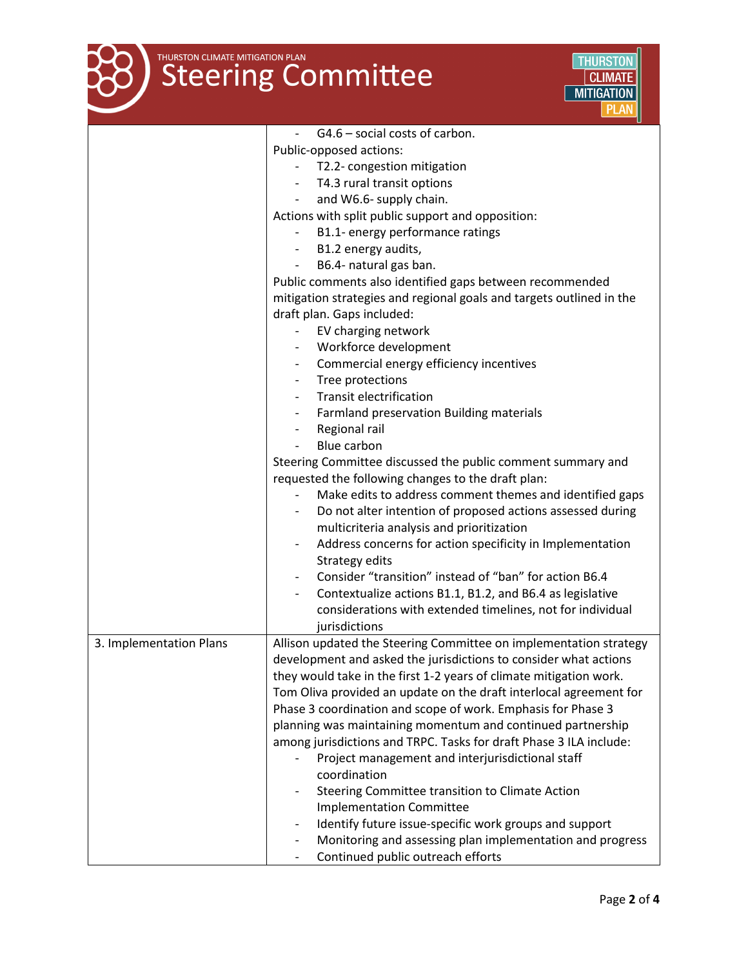



|                         | G4.6 - social costs of carbon.                                                                                                                         |
|-------------------------|--------------------------------------------------------------------------------------------------------------------------------------------------------|
|                         | Public-opposed actions:                                                                                                                                |
|                         | T2.2- congestion mitigation                                                                                                                            |
|                         | T4.3 rural transit options                                                                                                                             |
|                         | and W6.6- supply chain.                                                                                                                                |
|                         | Actions with split public support and opposition:                                                                                                      |
|                         | B1.1- energy performance ratings                                                                                                                       |
|                         | - B1.2 energy audits,                                                                                                                                  |
|                         | B6.4- natural gas ban.                                                                                                                                 |
|                         | Public comments also identified gaps between recommended                                                                                               |
|                         | mitigation strategies and regional goals and targets outlined in the                                                                                   |
|                         | draft plan. Gaps included:                                                                                                                             |
|                         | EV charging network                                                                                                                                    |
|                         | Workforce development                                                                                                                                  |
|                         | Commercial energy efficiency incentives                                                                                                                |
|                         | Tree protections                                                                                                                                       |
|                         | <b>Transit electrification</b>                                                                                                                         |
|                         | Farmland preservation Building materials                                                                                                               |
|                         | Regional rail                                                                                                                                          |
|                         | Blue carbon                                                                                                                                            |
|                         | Steering Committee discussed the public comment summary and                                                                                            |
|                         | requested the following changes to the draft plan:                                                                                                     |
|                         | Make edits to address comment themes and identified gaps                                                                                               |
|                         | Do not alter intention of proposed actions assessed during                                                                                             |
|                         | multicriteria analysis and prioritization                                                                                                              |
|                         | Address concerns for action specificity in Implementation                                                                                              |
|                         | Strategy edits                                                                                                                                         |
|                         | Consider "transition" instead of "ban" for action B6.4                                                                                                 |
|                         | Contextualize actions B1.1, B1.2, and B6.4 as legislative                                                                                              |
|                         | considerations with extended timelines, not for individual                                                                                             |
|                         | jurisdictions                                                                                                                                          |
| 3. Implementation Plans | Allison updated the Steering Committee on implementation strategy                                                                                      |
|                         | development and asked the jurisdictions to consider what actions                                                                                       |
|                         | they would take in the first 1-2 years of climate mitigation work.                                                                                     |
|                         | Tom Oliva provided an update on the draft interlocal agreement for                                                                                     |
|                         | Phase 3 coordination and scope of work. Emphasis for Phase 3                                                                                           |
|                         | planning was maintaining momentum and continued partnership                                                                                            |
|                         | among jurisdictions and TRPC. Tasks for draft Phase 3 ILA include:                                                                                     |
|                         | Project management and interjurisdictional staff                                                                                                       |
|                         | coordination                                                                                                                                           |
|                         | Steering Committee transition to Climate Action                                                                                                        |
|                         | <b>Implementation Committee</b>                                                                                                                        |
|                         | Identify future issue-specific work groups and support                                                                                                 |
|                         | Monitoring and assessing plan implementation and progress<br>$\overline{\phantom{a}}$<br>Continued public outreach efforts<br>$\overline{\phantom{a}}$ |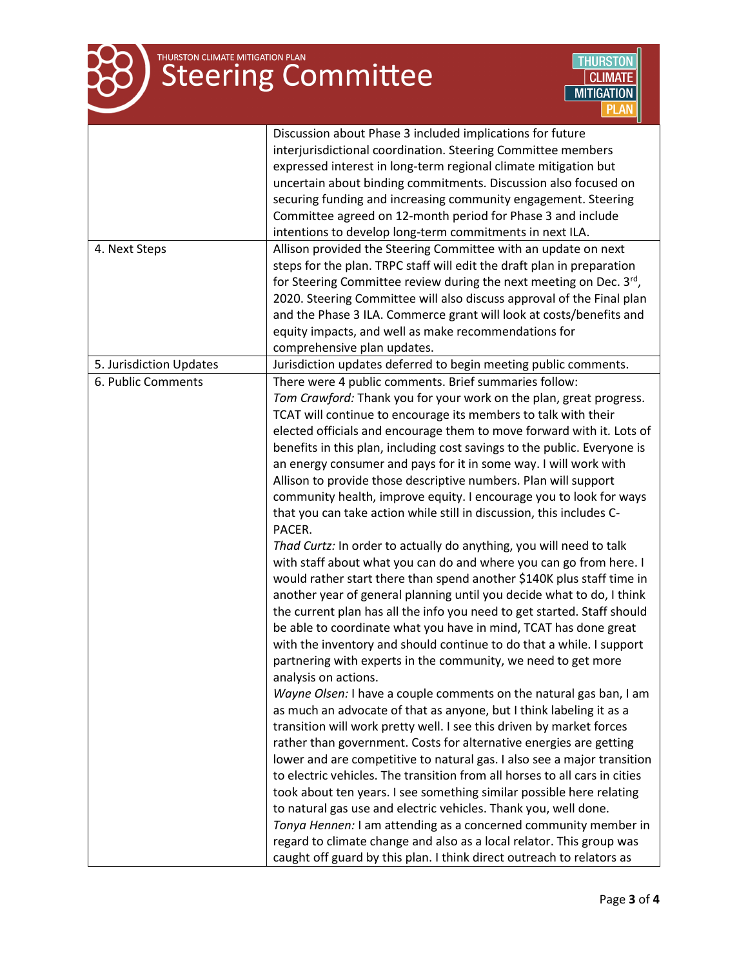# THURSTON CLIMATE MITIGATION PLAN



|                         | Discussion about Phase 3 included implications for future                                                                                  |
|-------------------------|--------------------------------------------------------------------------------------------------------------------------------------------|
|                         | interjurisdictional coordination. Steering Committee members                                                                               |
|                         | expressed interest in long-term regional climate mitigation but                                                                            |
|                         | uncertain about binding commitments. Discussion also focused on                                                                            |
|                         | securing funding and increasing community engagement. Steering                                                                             |
|                         | Committee agreed on 12-month period for Phase 3 and include                                                                                |
|                         | intentions to develop long-term commitments in next ILA.                                                                                   |
| 4. Next Steps           | Allison provided the Steering Committee with an update on next                                                                             |
|                         | steps for the plan. TRPC staff will edit the draft plan in preparation                                                                     |
|                         | for Steering Committee review during the next meeting on Dec. 3rd,                                                                         |
|                         | 2020. Steering Committee will also discuss approval of the Final plan                                                                      |
|                         | and the Phase 3 ILA. Commerce grant will look at costs/benefits and                                                                        |
|                         | equity impacts, and well as make recommendations for                                                                                       |
|                         | comprehensive plan updates.                                                                                                                |
| 5. Jurisdiction Updates | Jurisdiction updates deferred to begin meeting public comments.                                                                            |
| 6. Public Comments      | There were 4 public comments. Brief summaries follow:                                                                                      |
|                         | Tom Crawford: Thank you for your work on the plan, great progress.                                                                         |
|                         | TCAT will continue to encourage its members to talk with their                                                                             |
|                         | elected officials and encourage them to move forward with it. Lots of                                                                      |
|                         | benefits in this plan, including cost savings to the public. Everyone is                                                                   |
|                         | an energy consumer and pays for it in some way. I will work with                                                                           |
|                         | Allison to provide those descriptive numbers. Plan will support                                                                            |
|                         | community health, improve equity. I encourage you to look for ways                                                                         |
|                         | that you can take action while still in discussion, this includes C-                                                                       |
|                         | PACER.                                                                                                                                     |
|                         | Thad Curtz: In order to actually do anything, you will need to talk                                                                        |
|                         | with staff about what you can do and where you can go from here. I                                                                         |
|                         | would rather start there than spend another \$140K plus staff time in                                                                      |
|                         | another year of general planning until you decide what to do, I think                                                                      |
|                         | the current plan has all the info you need to get started. Staff should                                                                    |
|                         | be able to coordinate what you have in mind, TCAT has done great                                                                           |
|                         | with the inventory and should continue to do that a while. I support                                                                       |
|                         | partnering with experts in the community, we need to get more                                                                              |
|                         | analysis on actions.                                                                                                                       |
|                         | Wayne Olsen: I have a couple comments on the natural gas ban, I am                                                                         |
|                         | as much an advocate of that as anyone, but I think labeling it as a                                                                        |
|                         |                                                                                                                                            |
|                         | transition will work pretty well. I see this driven by market forces<br>rather than government. Costs for alternative energies are getting |
|                         |                                                                                                                                            |
|                         | lower and are competitive to natural gas. I also see a major transition                                                                    |
|                         | to electric vehicles. The transition from all horses to all cars in cities                                                                 |
|                         | took about ten years. I see something similar possible here relating                                                                       |
|                         | to natural gas use and electric vehicles. Thank you, well done.                                                                            |
|                         | Tonya Hennen: I am attending as a concerned community member in                                                                            |
|                         | regard to climate change and also as a local relator. This group was                                                                       |
|                         | caught off guard by this plan. I think direct outreach to relators as                                                                      |